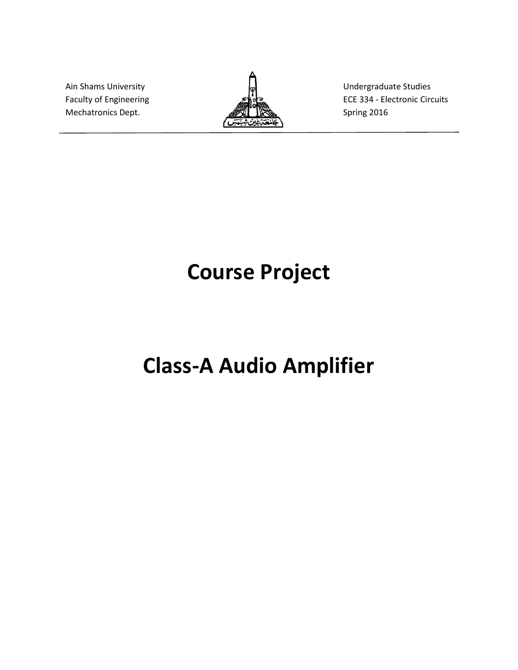Mechatronics Dept. **Spring 2016** Spring 2016



Ain Shams University **Example 20** and  $\mathbf{E}$  and  $\mathbf{E}$  Undergraduate Studies Faculty of Engineering **EXE ASSESS** ECE 334 - Electronic Circuits

# Course Project

# Class-A Audio Amplifier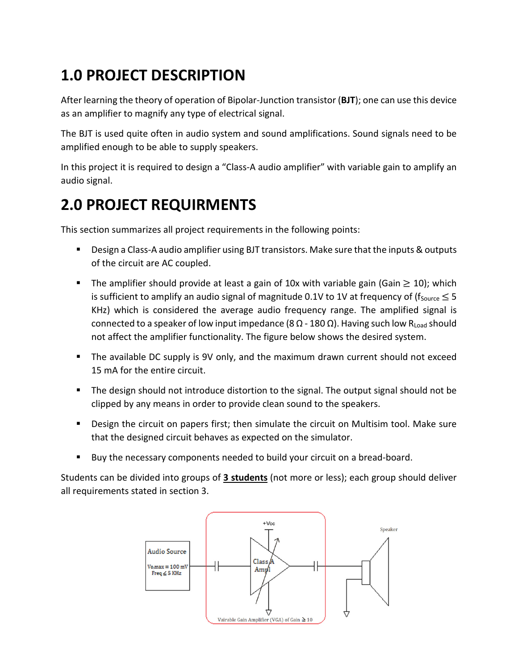### 1.0 PROJECT DESCRIPTION

After learning the theory of operation of Bipolar-Junction transistor (BJT); one can use this device as an amplifier to magnify any type of electrical signal.

The BJT is used quite often in audio system and sound amplifications. Sound signals need to be amplified enough to be able to supply speakers.

In this project it is required to design a "Class-A audio amplifier" with variable gain to amplify an audio signal.

### 2.0 PROJECT REQUIRMENTS

This section summarizes all project requirements in the following points:

- **Design a Class-A audio amplifier using BJT transistors. Make sure that the inputs & outputs** of the circuit are AC coupled.
- The amplifier should provide at least a gain of 10x with variable gain (Gain  $\geq$  10); which is sufficient to amplify an audio signal of magnitude 0.1V to 1V at frequency of ( $f_{\text{Source}} \leq 5$ KHz) which is considered the average audio frequency range. The amplified signal is connected to a speaker of low input impedance (8 Ω - 180 Ω). Having such low R<sub>Load</sub> should not affect the amplifier functionality. The figure below shows the desired system.
- The available DC supply is 9V only, and the maximum drawn current should not exceed 15 mA for the entire circuit.
- The design should not introduce distortion to the signal. The output signal should not be clipped by any means in order to provide clean sound to the speakers.
- Design the circuit on papers first; then simulate the circuit on Multisim tool. Make sure that the designed circuit behaves as expected on the simulator.
- Buy the necessary components needed to build your circuit on a bread-board.

Students can be divided into groups of 3 students (not more or less); each group should deliver all requirements stated in section 3.